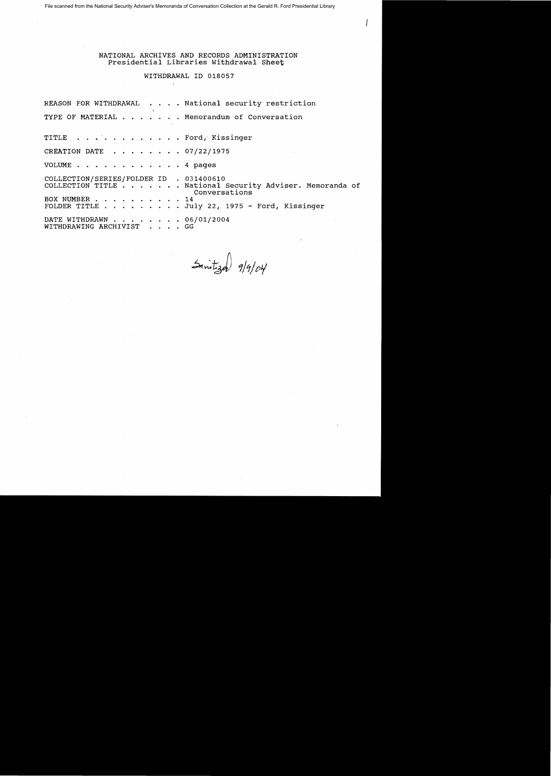File scanned from the National Security Adviser's Memoranda of Conversation Collection at the Gerald R. Ford Presidential Library

NATIONAL ARCHIVES AND RECORDS ADMINISTRATION Presidential Libraries withdrawal Sheet

# WITHDRAWAL ID 018057

REASON FOR WITHDRAWAL . . . . National security restriction TYPE OF MATERIAL . . . . . . Memorandum of Conversation TITLE . . . . . . . . . . . . Ford, Kissinger CREATION DATE . . . . . . . 07/22/1975 VOLUME . . . . . . . . . . . . 4 pages COLLECTION/SERIES/FOLDER ID . 031400610 COLLECTION/SERIES/FOLDER ID . 031400610<br>COLLECTION TITLE . . . . . . . National Security Adviser. Memoranda of Conversations<br>14 COLLECTION TITLE . . . . . . . Nat<br>BOX NUMBER . . . . . . . . . . 14<br>FOLDER TITLE . . . . . . . . . 14 BOX NUMBER . . . . . . . . . 14<br>FOLDER TITLE . . . . . . . . July 22, 1975 - Ford, Kissinger DATE WITHDRAWN . . . . . . . . 06/01/2004<br>WITHDRAWING ARCHIVIST . . . . GG WITHDRAWING ARCHIVIST . . . .

 $5$ mitized 9/9/04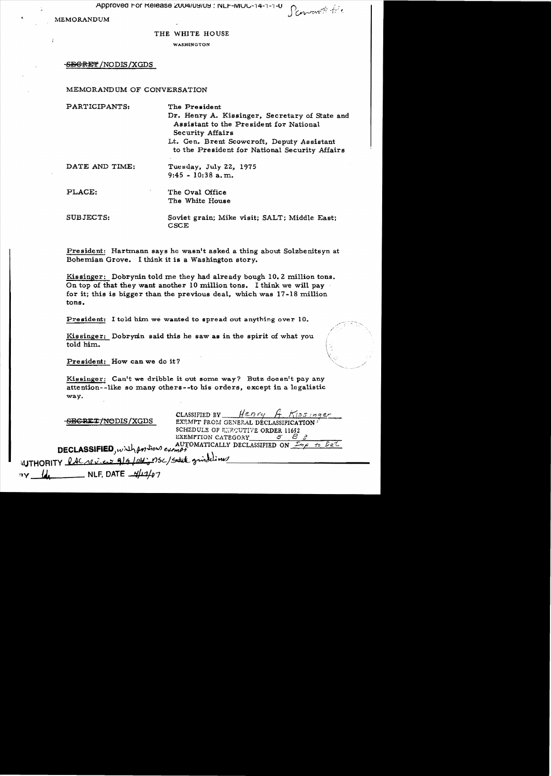Approved For Release 2004/09/09 : NLF-MOC-14-1-1-0

**MEMORANDUM** 

Pornown file

#### THE WHITE HOUSE

WASHINGTON

# -S<del>EGRET</del> /NODIS /XGDS

# MEMORANDUM OF CONVERSATION

| PARTICIPANTS:  | The President                                  |
|----------------|------------------------------------------------|
|                | Dr. Henry A. Kissinger, Secretary of State and |
|                | Assistant to the President for National        |
|                | <b>Security Affairs</b>                        |
|                | Lt. Gen. Brent Scowcroft, Deputy Assistant     |
|                | to the President for National Security Affairs |
| DATE AND TIME: |                                                |
|                | Tuesday, July 22, 1975                         |
|                | $9:45 - 10:38$ a.m.                            |
| PLACE:         | The Oval Office                                |
|                | The White House                                |
|                |                                                |
| SUBJECTS:      | Soviet grain; Mike visit; SALT; Middle East;   |
|                | CSCE                                           |

President: Hartmann says he wasn't asked a thing about Solzhenitsyn at Bohemian Grove. I think it is a Washington story.

Kissinger: Dobrynin told me they had already bough 10.2 million tons. On top of that they want another 10 million tons. I think we will pay for it; this is bigger than the previous deal, which was 17-18 million tons.

President: I told him we wanted to spread out anything over 10.

Kissinger: Dobrymin said this he saw as in the spirit of what you told him.

President: How can we do it?

Kissinger: Can't we dribble it out some way? Butz doesn't pay any attention--like so many others--to his orders, except in a legalistic way.

<del>SECRET/NO</del>DIS/XGDS

Henry A Kissinger CLASSIFIED BY EXEMPT FROM GENERAL DÉCLASSIFICATION / SCHEDULE OF EXPOUTIVE ORDER 11652 EXEMPTION CATEGORY 5 B

DECLASSIFIED, with portion example WTHORITY RACrevices 9/9/04; nsc/state grindling . NLF, DATE  $\frac{\mu}{4}$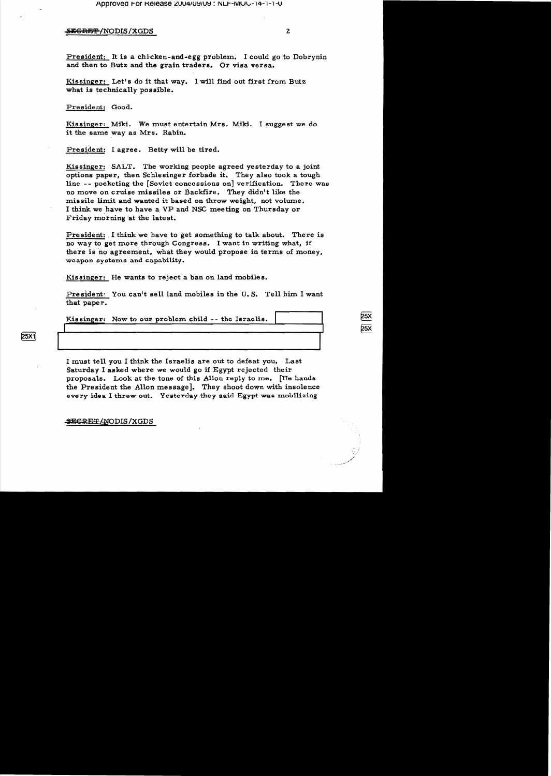# SEGRET/NODIS/XGDS

President: It is a chicken-and-egg problem. I could go to Dobrynin and then to Butz and the grain traders. Or visa versa.

Kissinger: Let's do it that way. I will find out first from Butz what is technically possible.

President: Good.

Kissinger: Miki. We must entertain Mrs. Miki. I suggest we do it the same way as Mrs. Rabin.

President: I agree. Betty will be tired.

Kissinger: SALT. The working people agreed yesterday to a joint options paper, then Schlesinger forbade it. They also took a tough line -- pocketing the [Soviet concessions on] verification. There was no move on cruise missiles or Backfire. They didn't like the missile limit and wanted it based on throw weight, not volume. I think we have to have a VP and NSC meeting on Thursday or Friday morning at the latest.

President: I think we have to get something to talk about. There is no way to get more through Congress. I want in writing what, if there is no agreement, what they would propose in terms of money, weapon systems and capability.

Kissinger: He wants to reject a ban on land mobiles.

President: You can't sell land mobiles in the U.S. Tell him I want that paper.

Kissinger: Now to our problem child -- the Israelis.

**25X1** 

I must tell you I think the Israelis are out to defeat you. Last Saturday I asked where we would go if Egypt rejected their proposals. Look at the tone of this Allon reply to me. [He hands the President the Allon message]. They shoot down with insolence every idea I threw out. Yesterday they said Egypt was mobilizing

**SEGRET/NODIS/XGDS**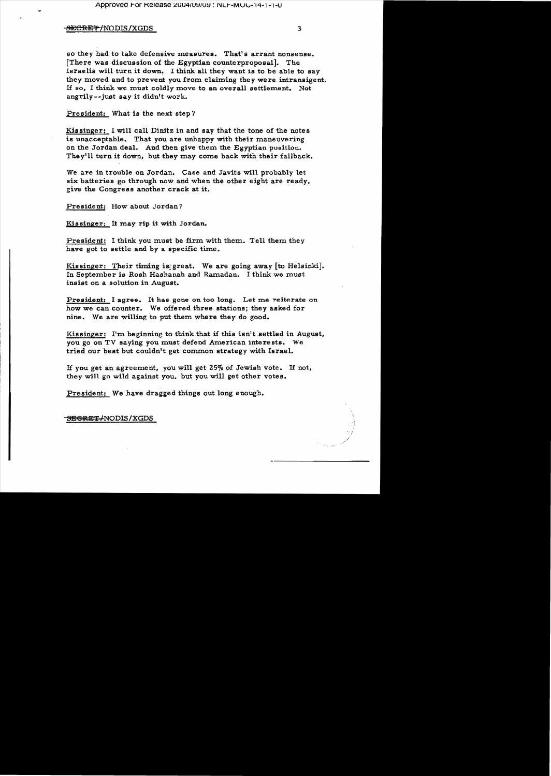#### **SECRET/NODIS/XGDS**

so they had to take defensive measures. That's arrant nonsense. [There was discussion of the Egyptian counterproposal]. The Israelis will turn it down. I think all they want is to be able to say they moved and to prevent you from claiming they were intransigent. If so, I think we must coldly move to an overall settlement. Not angrily--just say it didn't work.

President: What is the next step?

Kissinger: I will call Dinitz in and say that the tone of the notes is unacceptable. That you are unhappy with their maneuvering on the Jordan deal. And then give them the Egyptian position. They'll turn it down, but they may come back with their fallback.

We are in trouble on Jordan. Case and Javits will probably let six batteries go through now and when the other eight are ready, give the Congress another crack at it.

President: How about Jordan?

Kissinger: It may rip it with Jordan.

President: I think you must be firm with them. Tell them they have got to settle and by a specific time.

Kissinger: Their timing is great. We are going away [to Helsinki]. In September is Rosh Hashanah and Ramadan. I think we must insist on a solution in August.

President: I agree. It has gone on too long. Let me reiterate on how we can counter. We offered three stations; they asked for nine. We are willing to put them where they do good.

Kissinger: I'm beginning to think that if this isn't settled in August, you go on TV saying you must defend American interests. We tried our best but couldn't get common strategy with Israel.

If you get an agreement, you will get 25% of Jewish vote. If not, they will go wild against you, but you will get other votes.

President: We have dragged things out long enough.

**SEGRET/NODIS/XGDS**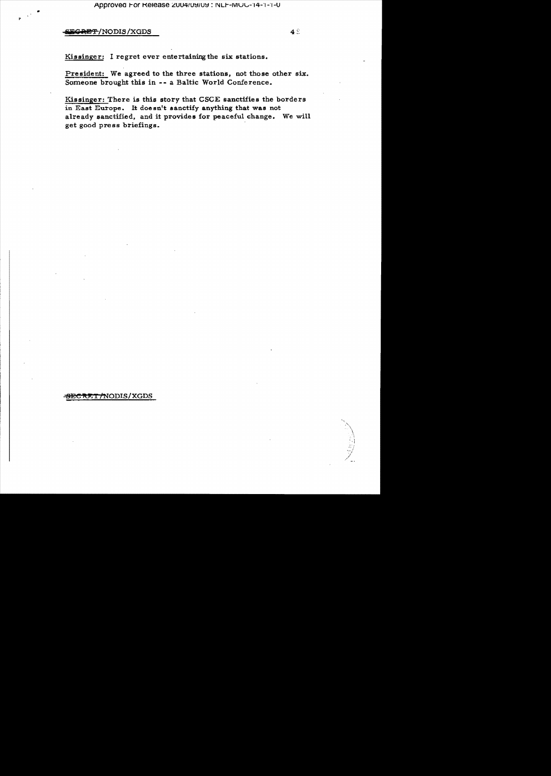E<del>GRET</del>/NODIS/XGDS

Kissinger: I regret ever entertaining the six stations.

President: We agreed to the three stations, not those other six. Someone brought this in -- a Baltic World Conference.

Kissinger: There is this story that CSCE sanctifies the borders in East Europe. It doesn't sanctify anything that was not already sanctified, and it provides for peaceful change. We will get good press briefings.

### SECRET/NODIS/XGDS